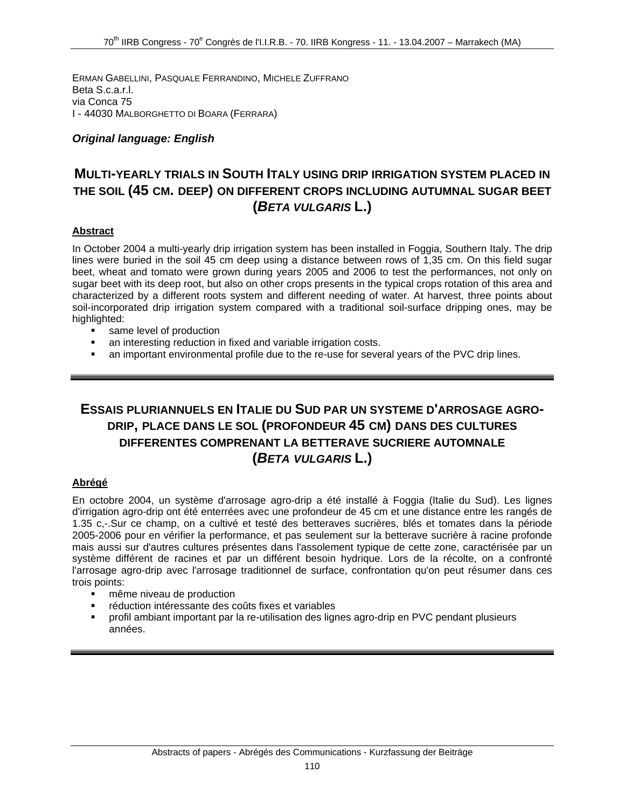ERMAN GABELLINI, PASQUALE FERRANDINO, MICHELE ZUFFRANO Beta S.c.a.r.l. via Conca 75 I - 44030 MALBORGHETTO DI BOARA (FERRARA)

### *Original language: English*

### **MULTI-YEARLY TRIALS IN SOUTH ITALY USING DRIP IRRIGATION SYSTEM PLACED IN THE SOIL (45 CM. DEEP) ON DIFFERENT CROPS INCLUDING AUTUMNAL SUGAR BEET (***BETA VULGARIS* **L.)**

### **Abstract**

In October 2004 a multi-yearly drip irrigation system has been installed in Foggia, Southern Italy. The drip lines were buried in the soil 45 cm deep using a distance between rows of 1,35 cm. On this field sugar beet, wheat and tomato were grown during years 2005 and 2006 to test the performances, not only on sugar beet with its deep root, but also on other crops presents in the typical crops rotation of this area and characterized by a different roots system and different needing of water. At harvest, three points about soil-incorporated drip irrigation system compared with a traditional soil-surface dripping ones, may be highlighted:

- same level of production
- an interesting reduction in fixed and variable irrigation costs.
- an important environmental profile due to the re-use for several years of the PVC drip lines.

# **ESSAIS PLURIANNUELS EN ITALIE DU SUD PAR UN SYSTEME D'ARROSAGE AGRO-DRIP, PLACE DANS LE SOL (PROFONDEUR 45 CM) DANS DES CULTURES DIFFERENTES COMPRENANT LA BETTERAVE SUCRIERE AUTOMNALE (***BETA VULGARIS* **L.)**

### **Abrégé**

En octobre 2004, un système d'arrosage agro-drip a été installé à Foggia (Italie du Sud). Les lignes d'irrigation agro-drip ont été enterrées avec une profondeur de 45 cm et une distance entre les rangés de 1.35 c,-.Sur ce champ, on a cultivé et testé des betteraves sucrières, blés et tomates dans la période 2005-2006 pour en vérifier la performance, et pas seulement sur la betterave sucrière à racine profonde mais aussi sur d'autres cultures présentes dans l'assolement typique de cette zone, caractérisée par un système différent de racines et par un différent besoin hydrique. Lors de la récolte, on a confronté l'arrosage agro-drip avec l'arrosage traditionnel de surface, confrontation qu'on peut résumer dans ces trois points:

- même niveau de production
- réduction intéressante des coûts fixes et variables
- profil ambiant important par la re-utilisation des lignes agro-drip en PVC pendant plusieurs années.